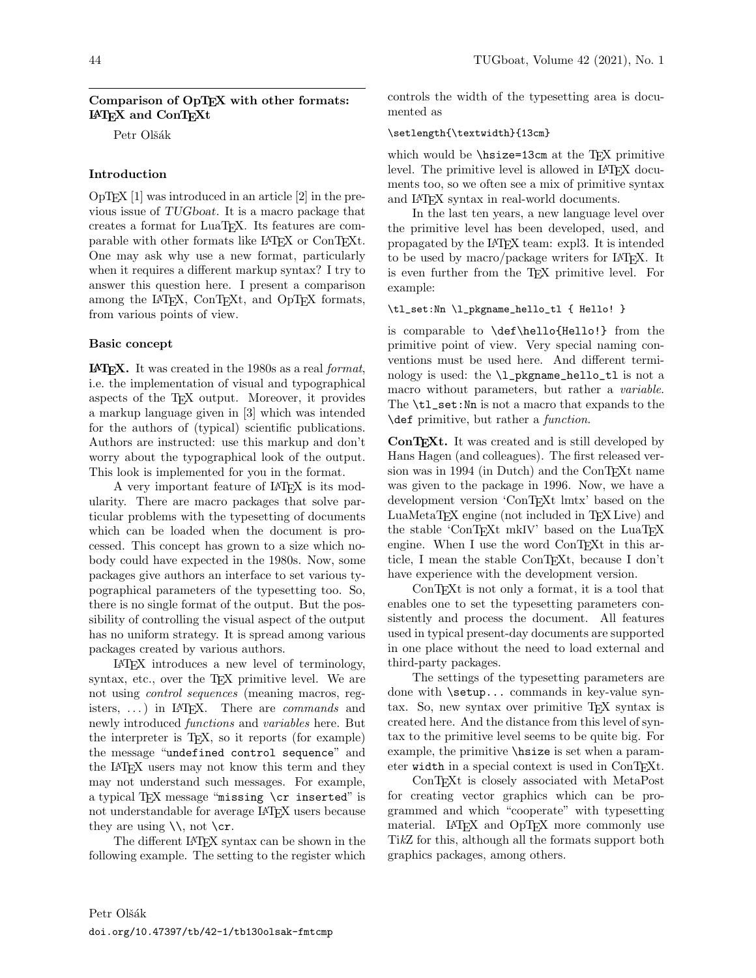# Comparison of OpTEX with other formats: L<sup>A</sup>TEX and ConTEXt

Petr Olšák

# Introduction

 $OpTr[X|1]$  was introduced in an article [2] in the previous issue of TUGboat. It is a macro package that creates a format for LuaTEX. Its features are comparable with other formats like LATEX or ConTEXt. One may ask why use a new format, particularly when it requires a different markup syntax? I try to answer this question here. I present a comparison among the LAT<sub>EX</sub>, ConT<sub>EX</sub><sup>t</sup>, and OpT<sub>EX</sub> formats, from various points of view.

## Basic concept

L<sup>A</sup>TEX. It was created in the 1980s as a real format, i.e. the implementation of visual and typographical aspects of the TEX output. Moreover, it provides a markup language given in [3] which was intended for the authors of (typical) scientific publications. Authors are instructed: use this markup and don't worry about the typographical look of the output. This look is implemented for you in the format.

A very important feature of LATEX is its modularity. There are macro packages that solve particular problems with the typesetting of documents which can be loaded when the document is processed. This concept has grown to a size which nobody could have expected in the 1980s. Now, some packages give authors an interface to set various typographical parameters of the typesetting too. So, there is no single format of the output. But the possibility of controlling the visual aspect of the output has no uniform strategy. It is spread among various packages created by various authors.

LATEX introduces a new level of terminology, syntax, etc., over the TEX primitive level. We are not using control sequences (meaning macros, registers,  $\ldots$ ) in LAT<sub>EX</sub>. There are *commands* and newly introduced functions and variables here. But the interpreter is TEX, so it reports (for example) the message "undefined control sequence" and the LATEX users may not know this term and they may not understand such messages. For example, a typical TFX message "missing \cr inserted" is not understandable for average LAT<sub>EX</sub> users because they are using  $\setminus \mathcal{C}$  not  $\setminus \mathsf{cr}$ .

The different LATEX syntax can be shown in the following example. The setting to the register which

controls the width of the typesetting area is documented as

## \setlength{\textwidth}{13cm}

which would be  $\hbar z = 13cm$  at the TEX primitive level. The primitive level is allowed in LAT<sub>EX</sub> documents too, so we often see a mix of primitive syntax and LATEX syntax in real-world documents.

In the last ten years, a new language level over the primitive level has been developed, used, and propagated by the LATEX team: expl3. It is intended to be used by macro/package writers for IAT<sub>EX</sub>. It is even further from the T<sub>EX</sub> primitive level. For example:

### \tl\_set:Nn \l\_pkgname\_hello\_tl { Hello! }

is comparable to \def\hello{Hello!} from the primitive point of view. Very special naming conventions must be used here. And different terminology is used: the \l\_pkgname\_hello\_tl is not a macro without parameters, but rather a *variable*. The **\tl\_set:** Nn is not a macro that expands to the \def primitive, but rather a function.

ConTEXt. It was created and is still developed by Hans Hagen (and colleagues). The first released version was in 1994 (in Dutch) and the ConT<sub>E</sub>X<sub>t</sub> name was given to the package in 1996. Now, we have a development version 'ConTEXt lmtx' based on the LuaMetaTEX engine (not included in TEX Live) and the stable 'ConTEXt mkIV' based on the LuaTEX engine. When I use the word ConT<sub>EXt</sub> in this article, I mean the stable ConTEXt, because I don't have experience with the development version.

ConTEXt is not only a format, it is a tool that enables one to set the typesetting parameters consistently and process the document. All features used in typical present-day documents are supported in one place without the need to load external and third-party packages.

The settings of the typesetting parameters are done with \setup... commands in key-value syntax. So, new syntax over primitive TEX syntax is created here. And the distance from this level of syntax to the primitive level seems to be quite big. For example, the primitive \hsize is set when a parameter width in a special context is used in ConTEXt.

ConTEXt is closely associated with MetaPost for creating vector graphics which can be programmed and which "cooperate" with typesetting material. LAT<sub>EX</sub> and OpTEX more commonly use TikZ for this, although all the formats support both graphics packages, among others.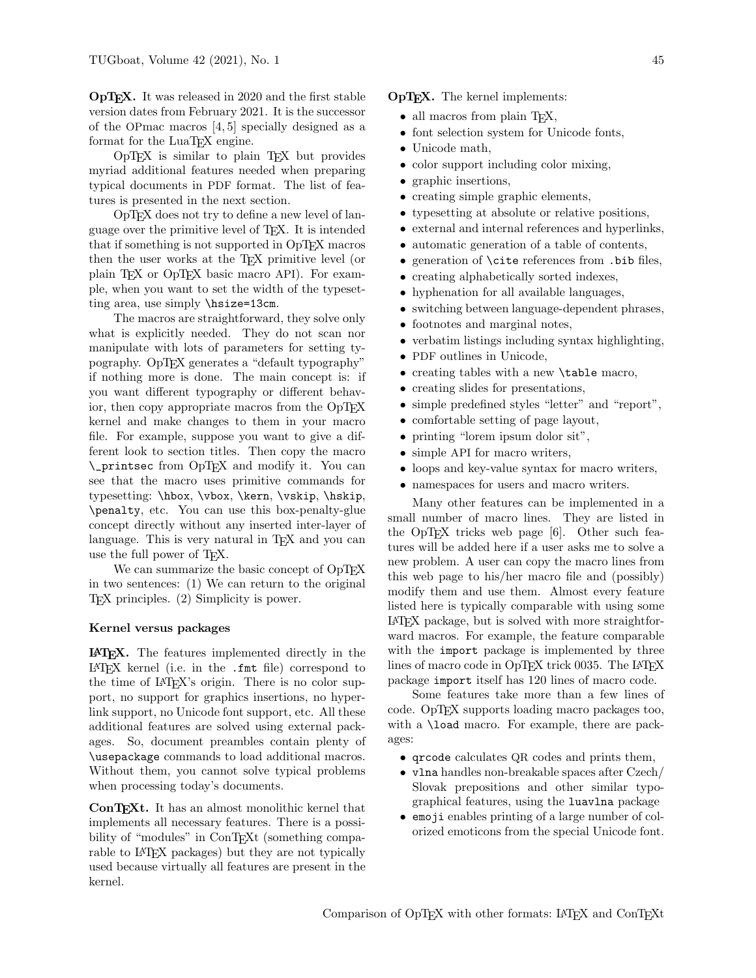OpTEX. It was released in 2020 and the first stable version dates from February 2021. It is the successor of the OPmac macros [4, 5] specially designed as a format for the LuaTEX engine.

OpTEX is similar to plain TEX but provides myriad additional features needed when preparing typical documents in PDF format. The list of features is presented in the next section.

OpTEX does not try to define a new level of language over the primitive level of TEX. It is intended that if something is not supported in OpT<sub>F</sub>X macros then the user works at the TEX primitive level (or plain T<sub>EX</sub> or OpT<sub>EX</sub> basic macro API). For example, when you want to set the width of the typesetting area, use simply \hsize=13cm.

The macros are straightforward, they solve only what is explicitly needed. They do not scan nor manipulate with lots of parameters for setting typography. OpT<sub>EX</sub> generates a "default typography" if nothing more is done. The main concept is: if you want different typography or different behavior, then copy appropriate macros from the OpT<sub>F</sub>X kernel and make changes to them in your macro file. For example, suppose you want to give a different look to section titles. Then copy the macro \\_printsec from OpTEX and modify it. You can see that the macro uses primitive commands for typesetting: \hbox, \vbox, \kern, \vskip, \hskip, \penalty, etc. You can use this box-penalty-glue concept directly without any inserted inter-layer of language. This is very natural in T<sub>E</sub>X and you can use the full power of TEX.

We can summarize the basic concept of OpTEX in two sentences: (1) We can return to the original TEX principles. (2) Simplicity is power.

#### Kernel versus packages

L<sup>A</sup>TEX. The features implemented directly in the LATEX kernel (i.e. in the .fmt file) correspond to the time of IAT<sub>E</sub>X's origin. There is no color support, no support for graphics insertions, no hyperlink support, no Unicode font support, etc. All these additional features are solved using external packages. So, document preambles contain plenty of \usepackage commands to load additional macros. Without them, you cannot solve typical problems when processing today's documents.

ConT<sub>EX</sub>t. It has an almost monolithic kernel that implements all necessary features. There is a possibility of "modules" in ConT<sub>E</sub>X<sup>t</sup> (something comparable to LAT<sub>F</sub>X packages) but they are not typically used because virtually all features are present in the kernel.

**OpT<sub>F</sub>X.** The kernel implements:

- all macros from plain T<sub>F</sub>X,
- font selection system for Unicode fonts,
- Unicode math,
- color support including color mixing,
- graphic insertions,
- creating simple graphic elements,
- typesetting at absolute or relative positions,
- external and internal references and hyperlinks,
- automatic generation of a table of contents,
- generation of \cite references from .bib files,
- creating alphabetically sorted indexes,
- hyphenation for all available languages,
- switching between language-dependent phrases,
- footnotes and marginal notes,
- verbatim listings including syntax highlighting,
- PDF outlines in Unicode,
- creating tables with a new \table macro,
- creating slides for presentations,
- simple predefined styles "letter" and "report",
- comfortable setting of page layout,
- printing "lorem ipsum dolor sit",
- simple API for macro writers,
- loops and key-value syntax for macro writers,
- namespaces for users and macro writers.

Many other features can be implemented in a small number of macro lines. They are listed in the OpTEX tricks web page [6]. Other such features will be added here if a user asks me to solve a new problem. A user can copy the macro lines from this web page to his/her macro file and (possibly) modify them and use them. Almost every feature listed here is typically comparable with using some LATEX package, but is solved with more straightforward macros. For example, the feature comparable with the import package is implemented by three lines of macro code in OpTFX trick 0035. The LATFX package import itself has 120 lines of macro code.

Some features take more than a few lines of code. OpT<sub>F</sub>X supports loading macro packages too, with a **\load** macro. For example, there are packages:

- qrcode calculates QR codes and prints them,
- vlna handles non-breakable spaces after Czech/ Slovak prepositions and other similar typographical features, using the luavlna package
- emoji enables printing of a large number of colorized emoticons from the special Unicode font.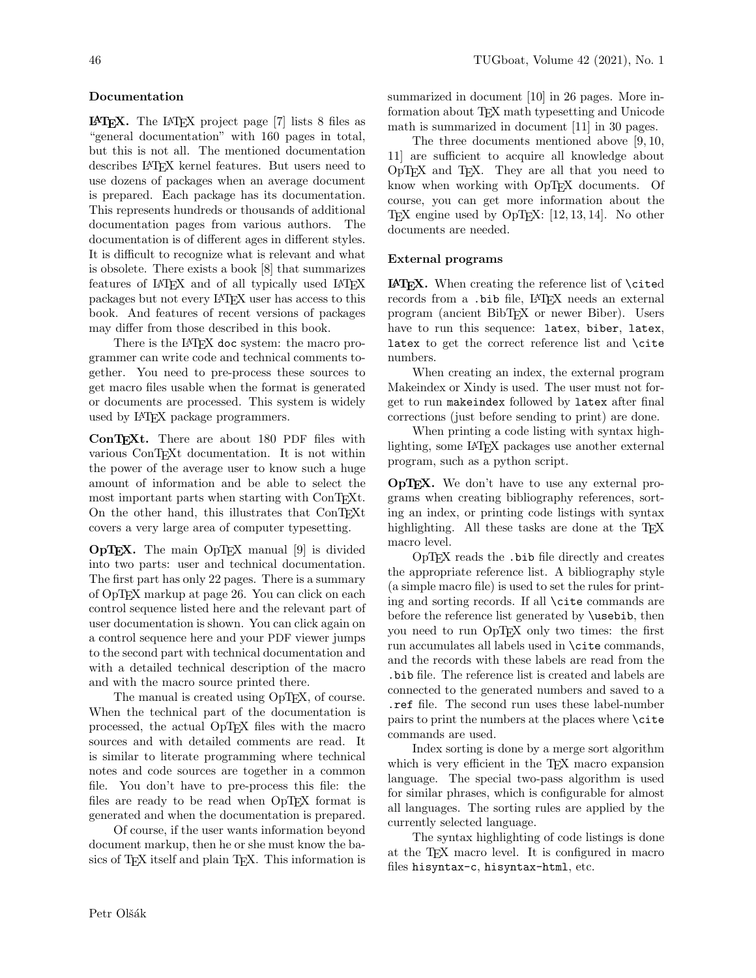## Documentation

L<sup>A</sup>TEX. The LATEX project page [7] lists 8 files as "general documentation" with 160 pages in total, but this is not all. The mentioned documentation describes LATEX kernel features. But users need to use dozens of packages when an average document is prepared. Each package has its documentation. This represents hundreds or thousands of additional documentation pages from various authors. The documentation is of different ages in different styles. It is difficult to recognize what is relevant and what is obsolete. There exists a book [8] that summarizes features of LAT<sub>EX</sub> and of all typically used LAT<sub>EX</sub> packages but not every LATEX user has access to this book. And features of recent versions of packages may differ from those described in this book.

There is the LAT<sub>F</sub>X doc system: the macro programmer can write code and technical comments together. You need to pre-process these sources to get macro files usable when the format is generated or documents are processed. This system is widely used by LATEX package programmers.

ConTEXt. There are about 180 PDF files with various ConTEXt documentation. It is not within the power of the average user to know such a huge amount of information and be able to select the most important parts when starting with ConTEXt. On the other hand, this illustrates that ConTEXt covers a very large area of computer typesetting.

OpTEX. The main OpTEX manual [9] is divided into two parts: user and technical documentation. The first part has only 22 pages. There is a summary of OpTEX markup at page 26. You can click on each control sequence listed here and the relevant part of user documentation is shown. You can click again on a control sequence here and your PDF viewer jumps to the second part with technical documentation and with a detailed technical description of the macro and with the macro source printed there.

The manual is created using OpT<sub>E</sub>X, of course. When the technical part of the documentation is processed, the actual OpTFX files with the macro sources and with detailed comments are read. It is similar to literate programming where technical notes and code sources are together in a common file. You don't have to pre-process this file: the files are ready to be read when OpT<sub>E</sub>X format is generated and when the documentation is prepared.

Of course, if the user wants information beyond document markup, then he or she must know the basics of TEX itself and plain TEX. This information is summarized in document [10] in 26 pages. More information about T<sub>E</sub>X math typesetting and Unicode math is summarized in document [11] in 30 pages.

The three documents mentioned above [9, 10, 11] are sufficient to acquire all knowledge about OpTEX and TEX. They are all that you need to know when working with OpTFX documents. Of course, you can get more information about the TEX engine used by OpTEX: [12, 13, 14]. No other documents are needed.

### External programs

L<sup>A</sup>TEX. When creating the reference list of \cited records from a .bib file, LATEX needs an external program (ancient BibTEX or newer Biber). Users have to run this sequence: latex, biber, latex, latex to get the correct reference list and \cite numbers.

When creating an index, the external program Makeindex or Xindy is used. The user must not forget to run makeindex followed by latex after final corrections (just before sending to print) are done.

When printing a code listing with syntax highlighting, some LATEX packages use another external program, such as a python script.

OpTEX. We don't have to use any external programs when creating bibliography references, sorting an index, or printing code listings with syntax highlighting. All these tasks are done at the T<sub>EX</sub> macro level.

OpTEX reads the .bib file directly and creates the appropriate reference list. A bibliography style (a simple macro file) is used to set the rules for printing and sorting records. If all \cite commands are before the reference list generated by \usebib, then you need to run OpTEX only two times: the first run accumulates all labels used in \cite commands, and the records with these labels are read from the .bib file. The reference list is created and labels are connected to the generated numbers and saved to a .ref file. The second run uses these label-number pairs to print the numbers at the places where \cite commands are used.

Index sorting is done by a merge sort algorithm which is very efficient in the T<sub>E</sub>X macro expansion language. The special two-pass algorithm is used for similar phrases, which is configurable for almost all languages. The sorting rules are applied by the currently selected language.

The syntax highlighting of code listings is done at the TEX macro level. It is configured in macro files hisyntax-c, hisyntax-html, etc.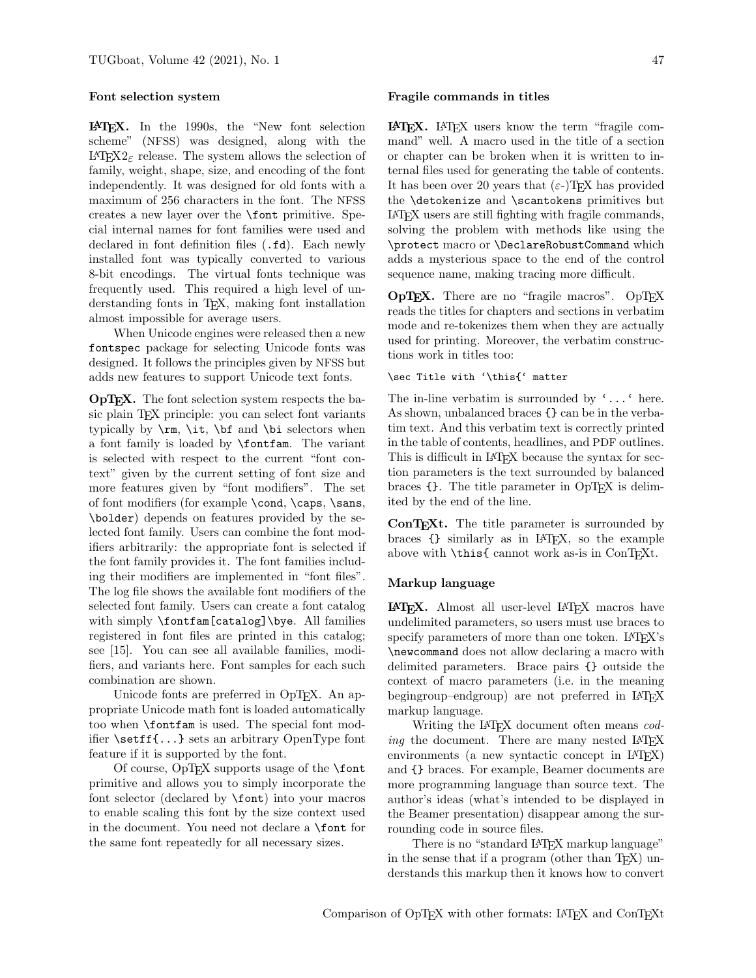#### Font selection system

L<sup>A</sup>TEX. In the 1990s, the "New font selection scheme" (NFSS) was designed, along with the LAT<sub>EX</sub> $2\varepsilon$  release. The system allows the selection of family, weight, shape, size, and encoding of the font independently. It was designed for old fonts with a maximum of 256 characters in the font. The NFSS creates a new layer over the \font primitive. Special internal names for font families were used and declared in font definition files (.fd). Each newly installed font was typically converted to various 8-bit encodings. The virtual fonts technique was frequently used. This required a high level of understanding fonts in T<sub>E</sub>X, making font installation almost impossible for average users.

When Unicode engines were released then a new fontspec package for selecting Unicode fonts was designed. It follows the principles given by NFSS but adds new features to support Unicode text fonts.

OpTEX. The font selection system respects the basic plain TEX principle: you can select font variants typically by \rm, \it, \bf and \bi selectors when a font family is loaded by \fontfam. The variant is selected with respect to the current "font context" given by the current setting of font size and more features given by "font modifiers". The set of font modifiers (for example \cond, \caps, \sans, \bolder) depends on features provided by the selected font family. Users can combine the font modifiers arbitrarily: the appropriate font is selected if the font family provides it. The font families including their modifiers are implemented in "font files". The log file shows the available font modifiers of the selected font family. Users can create a font catalog with simply \fontfam[catalog]\bye. All families registered in font files are printed in this catalog; see [15]. You can see all available families, modifiers, and variants here. Font samples for each such combination are shown.

Unicode fonts are preferred in OpT<sub>F</sub>X. An appropriate Unicode math font is loaded automatically too when \fontfam is used. The special font modifier \setff{...} sets an arbitrary OpenType font feature if it is supported by the font.

Of course, OpT<sub>F</sub>X supports usage of the **\font** primitive and allows you to simply incorporate the font selector (declared by \font) into your macros to enable scaling this font by the size context used in the document. You need not declare a \font for the same font repeatedly for all necessary sizes.

#### Fragile commands in titles

L<sup>A</sup>TEX. LATEX users know the term "fragile command" well. A macro used in the title of a section or chapter can be broken when it is written to internal files used for generating the table of contents. It has been over 20 years that  $(\varepsilon-)$ TEX has provided the \detokenize and \scantokens primitives but LATEX users are still fighting with fragile commands, solving the problem with methods like using the \protect macro or \DeclareRobustCommand which adds a mysterious space to the end of the control sequence name, making tracing more difficult.

 $OpTrX$ . There are no "fragile macros".  $OpTrX$ reads the titles for chapters and sections in verbatim mode and re-tokenizes them when they are actually used for printing. Moreover, the verbatim constructions work in titles too:

### \sec Title with '\this{' matter

The in-line verbatim is surrounded by '...' here. As shown, unbalanced braces {} can be in the verbatim text. And this verbatim text is correctly printed in the table of contents, headlines, and PDF outlines. This is difficult in LAT<sub>EX</sub> because the syntax for section parameters is the text surrounded by balanced braces  $\{\}$ . The title parameter in OpT $\overline{F}X$  is delimited by the end of the line.

ConTEXt. The title parameter is surrounded by braces {} similarly as in LATEX, so the example above with  $\theta$  cannot work as-is in ConTEXt.

#### Markup language

L<sup>A</sup>TEX. Almost all user-level LATEX macros have undelimited parameters, so users must use braces to specify parameters of more than one token. LATEX's \newcommand does not allow declaring a macro with delimited parameters. Brace pairs {} outside the context of macro parameters (i.e. in the meaning begingroup–endgroup) are not preferred in LAT<sub>EX</sub> markup language.

Writing the IATEX document often means coding the document. There are many nested IATEX environments (a new syntactic concept in LAT<sub>EX</sub>) and {} braces. For example, Beamer documents are more programming language than source text. The author's ideas (what's intended to be displayed in the Beamer presentation) disappear among the surrounding code in source files.

There is no "standard LAT<sub>EX</sub> markup language" in the sense that if a program (other than T<sub>EX</sub>) understands this markup then it knows how to convert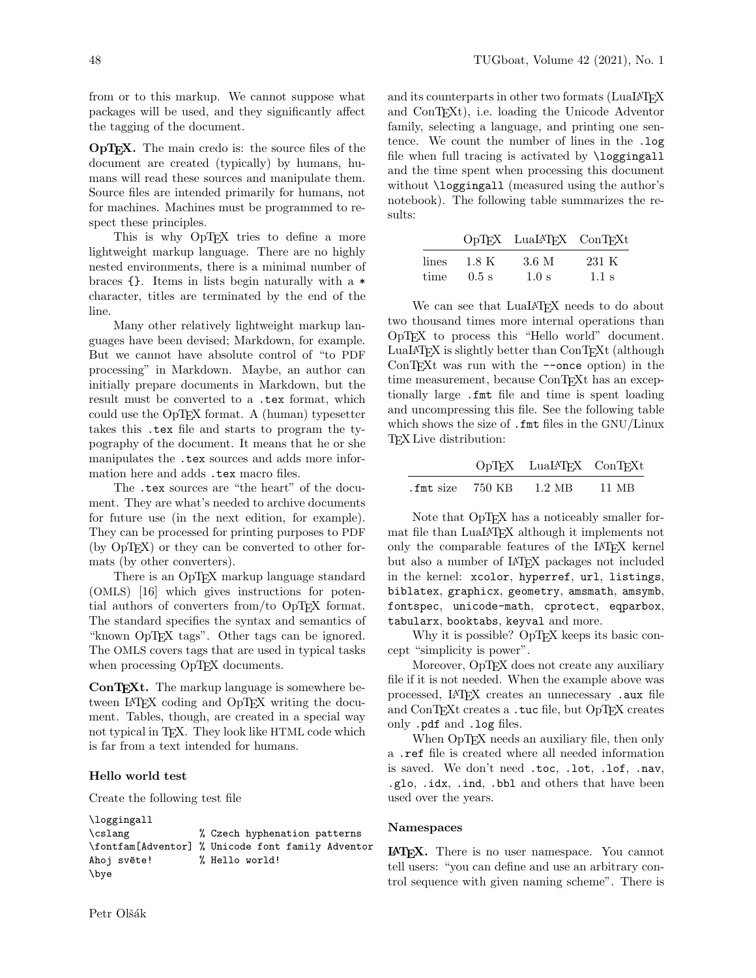from or to this markup. We cannot suppose what packages will be used, and they significantly affect the tagging of the document.

OpTEX. The main credo is: the source files of the document are created (typically) by humans, humans will read these sources and manipulate them. Source files are intended primarily for humans, not for machines. Machines must be programmed to respect these principles.

This is why OpT<sub>F</sub>X tries to define a more lightweight markup language. There are no highly nested environments, there is a minimal number of braces {}. Items in lists begin naturally with a \* character, titles are terminated by the end of the line.

Many other relatively lightweight markup languages have been devised; Markdown, for example. But we cannot have absolute control of "to PDF processing" in Markdown. Maybe, an author can initially prepare documents in Markdown, but the result must be converted to a .tex format, which could use the OpTEX format. A (human) typesetter takes this .tex file and starts to program the typography of the document. It means that he or she manipulates the .tex sources and adds more information here and adds .tex macro files.

The .tex sources are "the heart" of the document. They are what's needed to archive documents for future use (in the next edition, for example). They can be processed for printing purposes to PDF  $(by \text{ OpTr} X)$  or they can be converted to other formats (by other converters).

There is an OpT<sub>E</sub>X markup language standard (OMLS) [16] which gives instructions for potential authors of converters from/to OpTFX format. The standard specifies the syntax and semantics of "known OpTEX tags". Other tags can be ignored. The OMLS covers tags that are used in typical tasks when processing OpTEX documents.

ConT<sub>EX</sub>t. The markup language is somewhere between LAT<sub>F</sub>X coding and OpT<sub>F</sub>X writing the document. Tables, though, are created in a special way not typical in T<sub>E</sub>X. They look like HTML code which is far from a text intended for humans.

### Hello world test

Create the following test file

```
\loggingall
\cslang % Czech hyphenation patterns
\fontfam[Adventor] % Unicode font family Adventor
Ahoj světe! % Hello world!
\bye
```
and its counterparts in other two formats (LuaLAT<sub>EX</sub>) and ConTEXt), i.e. loading the Unicode Adventor family, selecting a language, and printing one sentence. We count the number of lines in the .log file when full tracing is activated by \loggingall and the time spent when processing this document without **\loggingall** (measured using the author's notebook). The following table summarizes the results:

|       |         | OpTFX LuaL <sup>A</sup> TFX ConTFXt |         |
|-------|---------|-------------------------------------|---------|
| lines | 1.8 K   | 3.6 M                               | 231 K   |
| time  | $0.5$ s | 1.0 s                               | $1.1$ s |

 $\overline{a}$ 

We can see that LuaLAT<sub>F</sub>X needs to do about two thousand times more internal operations than OpTEX to process this "Hello world" document. LuaLAT<sub>E</sub>X is slightly better than ConT<sub>E</sub>Xt (although ConTEXt was run with the --once option) in the time measurement, because ConTEXt has an exceptionally large .fmt file and time is spent loading and uncompressing this file. See the following table which shows the size of .fmt files in the GNU/Linux TEX Live distribution:

|                           | OpTFX LuaL <sup>AT</sup> FX ConTFXt |       |
|---------------------------|-------------------------------------|-------|
| $\text{fmt size}$ 750 KB. | 1.2 MB                              | 11 MB |

Note that OpT<sub>F</sub>X has a noticeably smaller format file than LuaLATEX although it implements not only the comparable features of the LAT<sub>EX</sub> kernel but also a number of LATEX packages not included in the kernel: xcolor, hyperref, url, listings, biblatex, graphicx, geometry, amsmath, amsymb, fontspec, unicode-math, cprotect, eqparbox, tabularx, booktabs, keyval and more.

Why it is possible? OpTFX keeps its basic concept "simplicity is power".

Moreover, OpTFX does not create any auxiliary file if it is not needed. When the example above was processed, LATEX creates an unnecessary .aux file and ConTEXt creates a .tuc file, but OpTEX creates only .pdf and .log files.

When OpT<sub>E</sub>X needs an auxiliary file, then only a .ref file is created where all needed information is saved. We don't need .toc, .lot, .lof, .nav, .glo, .idx, .ind, .bbl and others that have been used over the years.

#### Namespaces

L<sup>A</sup>TEX. There is no user namespace. You cannot tell users: "you can define and use an arbitrary control sequence with given naming scheme". There is